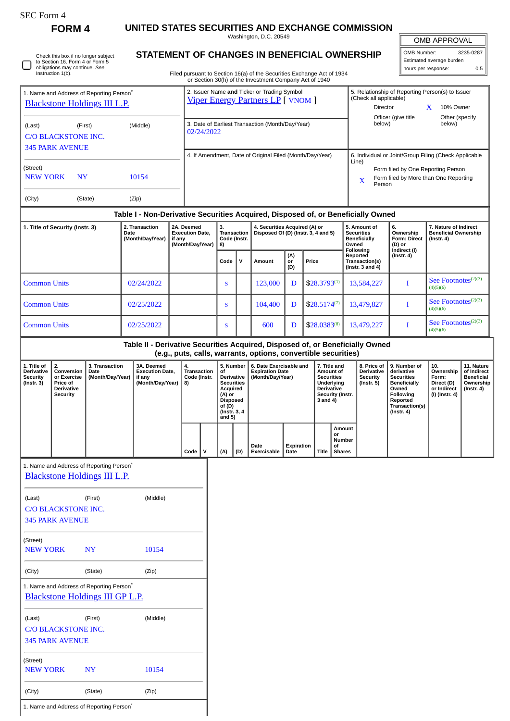| SEC Form |  |
|----------|--|
|----------|--|

**FORM 4 UNITED STATES SECURITIES AND EXCHANGE COMMISSION** Washington, D.C. 20549

|                                                                                             |                                                                                     |                                                                                             |                                                                                  |  |                                                                                                                                                   |   |                                                                                                                                     |              | Washington, D.C. 20549                                                 |                    |                  |                                                                                                                          |                                                                                                                                                    |                                                                          |                                                                                                                                                | OMB APPROVAL                                                             |                                                                           |  |
|---------------------------------------------------------------------------------------------|-------------------------------------------------------------------------------------|---------------------------------------------------------------------------------------------|----------------------------------------------------------------------------------|--|---------------------------------------------------------------------------------------------------------------------------------------------------|---|-------------------------------------------------------------------------------------------------------------------------------------|--------------|------------------------------------------------------------------------|--------------------|------------------|--------------------------------------------------------------------------------------------------------------------------|----------------------------------------------------------------------------------------------------------------------------------------------------|--------------------------------------------------------------------------|------------------------------------------------------------------------------------------------------------------------------------------------|--------------------------------------------------------------------------|---------------------------------------------------------------------------|--|
|                                                                                             | Check this box if no longer subject<br>to Section 16. Form 4 or Form 5              |                                                                                             |                                                                                  |  |                                                                                                                                                   |   |                                                                                                                                     |              | STATEMENT OF CHANGES IN BENEFICIAL OWNERSHIP                           |                    |                  |                                                                                                                          |                                                                                                                                                    |                                                                          | OMB Number:                                                                                                                                    | Estimated average burden                                                 | 3235-0287                                                                 |  |
|                                                                                             | obligations may continue. See<br>Instruction 1(b).                                  |                                                                                             |                                                                                  |  |                                                                                                                                                   |   |                                                                                                                                     |              | Filed pursuant to Section 16(a) of the Securities Exchange Act of 1934 |                    |                  |                                                                                                                          |                                                                                                                                                    |                                                                          |                                                                                                                                                | hours per response:                                                      | 0.5                                                                       |  |
| 1. Name and Address of Reporting Person <sup>®</sup><br><b>Blackstone Holdings III L.P.</b> |                                                                                     |                                                                                             |                                                                                  |  | or Section 30(h) of the Investment Company Act of 1940<br>2. Issuer Name and Ticker or Trading Symbol<br><b>Viper Energy Partners LP</b> [ VNOM ] |   |                                                                                                                                     |              |                                                                        |                    |                  |                                                                                                                          | 5. Relationship of Reporting Person(s) to Issuer<br>(Check all applicable)<br><b>Director</b><br>$\mathbf{X}$<br>10% Owner                         |                                                                          |                                                                                                                                                |                                                                          |                                                                           |  |
| (Middle)<br>(Last)<br>(First)<br><b>C/O BLACKSTONE INC.</b><br><b>345 PARK AVENUE</b>       |                                                                                     |                                                                                             |                                                                                  |  | 3. Date of Earliest Transaction (Month/Day/Year)<br>02/24/2022                                                                                    |   |                                                                                                                                     |              |                                                                        |                    |                  |                                                                                                                          | Officer (give title<br>Other (specify<br>below)<br>below)                                                                                          |                                                                          |                                                                                                                                                |                                                                          |                                                                           |  |
| (Street)<br><b>NEW YORK</b><br>10154<br>N <sub>Y</sub>                                      |                                                                                     |                                                                                             |                                                                                  |  | 4. If Amendment, Date of Original Filed (Month/Day/Year)                                                                                          |   |                                                                                                                                     |              |                                                                        |                    |                  |                                                                                                                          | 6. Individual or Joint/Group Filing (Check Applicable<br>Line)<br>Form filed by One Reporting Person<br>Form filed by More than One Reporting<br>X |                                                                          |                                                                                                                                                |                                                                          |                                                                           |  |
| (City)                                                                                      |                                                                                     | (State)                                                                                     | (Zip)                                                                            |  |                                                                                                                                                   |   |                                                                                                                                     |              |                                                                        |                    |                  |                                                                                                                          |                                                                                                                                                    | Person                                                                   |                                                                                                                                                |                                                                          |                                                                           |  |
|                                                                                             |                                                                                     |                                                                                             | Table I - Non-Derivative Securities Acquired, Disposed of, or Beneficially Owned |  |                                                                                                                                                   |   |                                                                                                                                     |              |                                                                        |                    |                  |                                                                                                                          |                                                                                                                                                    |                                                                          |                                                                                                                                                |                                                                          |                                                                           |  |
| 2. Transaction<br>1. Title of Security (Instr. 3)<br>Date<br>(Month/Day/Year)               |                                                                                     | if any                                                                                      | 2A. Deemed<br><b>Execution Date,</b><br>(Month/Day/Year)                         |  | 3.<br>Transaction<br>Code (Instr.<br>8)                                                                                                           |   | 4. Securities Acquired (A) or<br>Disposed Of (D) (Instr. 3, 4 and 5)                                                                |              |                                                                        |                    |                  | 5. Amount of<br><b>Securities</b><br><b>Beneficially</b><br>Owned<br>Following                                           | 6.<br>Ownership<br>Form: Direct<br>$(D)$ or<br>Indirect (I)                                                                                        | 7. Nature of Indirect<br><b>Beneficial Ownership</b><br>$($ Instr. 4 $)$ |                                                                                                                                                |                                                                          |                                                                           |  |
|                                                                                             |                                                                                     |                                                                                             |                                                                                  |  |                                                                                                                                                   |   | Code                                                                                                                                | $\mathsf{v}$ | Amount                                                                 | (A)<br>or<br>(D)   | Price            |                                                                                                                          | Reported<br>Transaction(s)<br>(Instr. $3$ and $4$ )                                                                                                |                                                                          | $($ Instr. 4 $)$                                                                                                                               |                                                                          |                                                                           |  |
| <b>Common Units</b>                                                                         |                                                                                     |                                                                                             | 02/24/2022                                                                       |  |                                                                                                                                                   |   | S                                                                                                                                   |              | 123,000                                                                | D                  |                  | $$28.3793^{(1)}$                                                                                                         |                                                                                                                                                    | 13,584,227                                                               | 1                                                                                                                                              | See Footnotes <sup>(2)(3)</sup><br>(4)(5)(6)                             |                                                                           |  |
| <b>Common Units</b>                                                                         |                                                                                     |                                                                                             | 02/25/2022                                                                       |  |                                                                                                                                                   |   | S                                                                                                                                   |              | 104,400                                                                | D                  |                  | $$28.5174^{(7)}$                                                                                                         |                                                                                                                                                    | 13,479,827                                                               | 1                                                                                                                                              | See Footnotes <sup>(2)(3)</sup><br>(4)(5)(6)                             |                                                                           |  |
| <b>Common Units</b>                                                                         |                                                                                     | 02/25/2022                                                                                  |                                                                                  |  |                                                                                                                                                   | S |                                                                                                                                     | 600          | D                                                                      |                    | $$28.0383^{(8)}$ |                                                                                                                          | 13,479,227                                                                                                                                         | 1                                                                        | See Footnotes <sup>(2)(3)</sup><br>(4)(5)(6)                                                                                                   |                                                                          |                                                                           |  |
|                                                                                             |                                                                                     |                                                                                             | Table II - Derivative Securities Acquired, Disposed of, or Beneficially Owned    |  |                                                                                                                                                   |   |                                                                                                                                     |              | (e.g., puts, calls, warrants, options, convertible securities)         |                    |                  |                                                                                                                          |                                                                                                                                                    |                                                                          |                                                                                                                                                |                                                                          |                                                                           |  |
| 1. Title of<br><b>Derivative</b><br><b>Security</b><br>$($ Instr. 3 $)$                     | 2.<br>Conversion<br>or Exercise<br>Price of<br><b>Derivative</b><br><b>Security</b> | 3. Transaction<br>Date<br>(Month/Day/Year)                                                  | 3A. Deemed<br><b>Execution Date.</b><br>if any<br>(Month/Day/Year)               |  | 4.<br><b>Transaction</b><br>Code (Instr.<br>8)                                                                                                    |   | 5. Number<br>of<br>Derivative<br><b>Securities</b><br>Acquired<br>$(A)$ or<br><b>Disposed</b><br>of (D)<br>(Instr. 3, 4<br>and $5)$ |              | 6. Date Exercisable and<br><b>Expiration Date</b><br>(Month/Day/Year)  |                    |                  | 7. Title and<br>Amount of<br><b>Securities</b><br><b>Underlving</b><br><b>Derivative</b><br>Security (Instr.<br>3 and 4) |                                                                                                                                                    | 8. Price of<br><b>Derivative</b><br><b>Security</b><br>$($ Instr. 5 $)$  | 9. Number of<br>derivative<br><b>Securities</b><br><b>Beneficially</b><br>Owned<br>Following<br>Reported<br>Transaction(s)<br>$($ Instr. 4 $)$ | 10.<br>Ownership<br>Form:<br>Direct (D)<br>or Indirect<br>(I) (Instr. 4) | 11. Nature<br>of Indirect<br><b>Beneficial</b><br>Ownership<br>(Instr. 4) |  |
|                                                                                             |                                                                                     |                                                                                             |                                                                                  |  | Code $ V $                                                                                                                                        |   | (A)                                                                                                                                 | (D)          | Date<br>Exercisable                                                    | Expiration<br>Date |                  | or<br>of<br>Title<br><b>Shares</b>                                                                                       | Amount<br>Number                                                                                                                                   |                                                                          |                                                                                                                                                |                                                                          |                                                                           |  |
|                                                                                             |                                                                                     | 1. Name and Address of Reporting Person <sup>*</sup><br><b>Blackstone Holdings III L.P.</b> |                                                                                  |  |                                                                                                                                                   |   |                                                                                                                                     |              |                                                                        |                    |                  |                                                                                                                          |                                                                                                                                                    |                                                                          |                                                                                                                                                |                                                                          |                                                                           |  |
| (Last)                                                                                      |                                                                                     | (First)                                                                                     | (Middle)                                                                         |  |                                                                                                                                                   |   |                                                                                                                                     |              |                                                                        |                    |                  |                                                                                                                          |                                                                                                                                                    |                                                                          |                                                                                                                                                |                                                                          |                                                                           |  |
|                                                                                             | C/O BLACKSTONE INC.<br><b>345 PARK AVENUE</b>                                       |                                                                                             |                                                                                  |  |                                                                                                                                                   |   |                                                                                                                                     |              |                                                                        |                    |                  |                                                                                                                          |                                                                                                                                                    |                                                                          |                                                                                                                                                |                                                                          |                                                                           |  |
| (Street)<br><b>NEW YORK</b><br><b>NY</b>                                                    |                                                                                     |                                                                                             | 10154                                                                            |  |                                                                                                                                                   |   |                                                                                                                                     |              |                                                                        |                    |                  |                                                                                                                          |                                                                                                                                                    |                                                                          |                                                                                                                                                |                                                                          |                                                                           |  |
| (City)                                                                                      |                                                                                     | (State)                                                                                     | (Zip)                                                                            |  |                                                                                                                                                   |   |                                                                                                                                     |              |                                                                        |                    |                  |                                                                                                                          |                                                                                                                                                    |                                                                          |                                                                                                                                                |                                                                          |                                                                           |  |
|                                                                                             |                                                                                     | 1. Name and Address of Reporting Person*<br><b>Blackstone Holdings III GP L.P.</b>          |                                                                                  |  |                                                                                                                                                   |   |                                                                                                                                     |              |                                                                        |                    |                  |                                                                                                                          |                                                                                                                                                    |                                                                          |                                                                                                                                                |                                                                          |                                                                           |  |
| (Last)                                                                                      | <b>C/O BLACKSTONE INC.</b><br><b>345 PARK AVENUE</b>                                | (First)                                                                                     | (Middle)                                                                         |  |                                                                                                                                                   |   |                                                                                                                                     |              |                                                                        |                    |                  |                                                                                                                          |                                                                                                                                                    |                                                                          |                                                                                                                                                |                                                                          |                                                                           |  |
| (Street)<br><b>NEW YORK</b>                                                                 |                                                                                     | <b>NY</b>                                                                                   | 10154                                                                            |  |                                                                                                                                                   |   |                                                                                                                                     |              |                                                                        |                    |                  |                                                                                                                          |                                                                                                                                                    |                                                                          |                                                                                                                                                |                                                                          |                                                                           |  |
| (City)                                                                                      |                                                                                     | (State)                                                                                     | (Zip)                                                                            |  |                                                                                                                                                   |   |                                                                                                                                     |              |                                                                        |                    |                  |                                                                                                                          |                                                                                                                                                    |                                                                          |                                                                                                                                                |                                                                          |                                                                           |  |

1. Name and Address of Reporting Person<sup>\*</sup>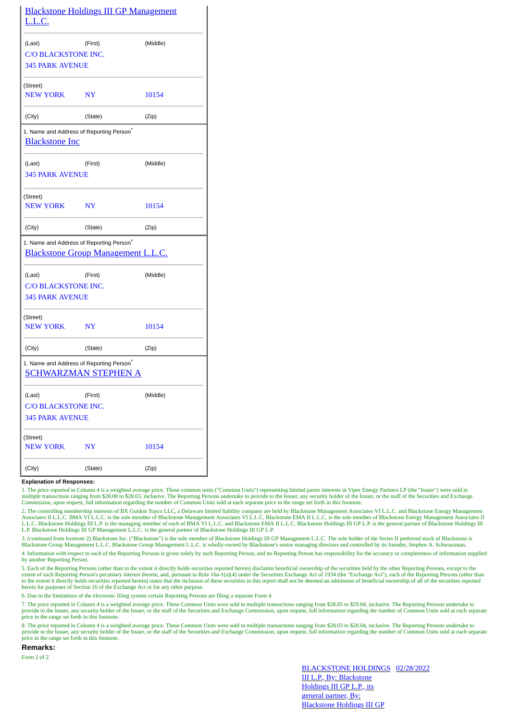| <u>L.L.C.</u>                                 | <b>Blackstone Holdings III GP Management</b>                                                      |          |
|-----------------------------------------------|---------------------------------------------------------------------------------------------------|----------|
| (Last)                                        | (First)                                                                                           | (Middle) |
| C/O BLACKSTONE INC.<br><b>345 PARK AVENUE</b> |                                                                                                   |          |
| (Street)<br><b>NEW YORK</b>                   | NY                                                                                                | 10154    |
| (City)                                        | (State)                                                                                           | (Zip)    |
| <b>Blackstone Inc</b>                         | 1. Name and Address of Reporting Person <sup>*</sup>                                              |          |
| (Last)                                        | (First)                                                                                           | (Middle) |
| <b>345 PARK AVENUE</b>                        |                                                                                                   |          |
| (Street)                                      |                                                                                                   |          |
| <b>NEW YORK</b>                               | $N\Upsilon$                                                                                       | 10154    |
| (City)                                        | (State)                                                                                           | (Zip)    |
|                                               | 1. Name and Address of Reporting Person <sup>*</sup><br><b>Blackstone Group Management L.L.C.</b> |          |
| (Last)                                        | (First)                                                                                           | (Middle) |
| C/O BLACKSTONE INC.                           |                                                                                                   |          |
| <b>345 PARK AVENUE</b>                        |                                                                                                   |          |
| (Street)<br><b>NEW YORK</b>                   | NY                                                                                                | 10154    |
| (City)                                        | (State)                                                                                           | (Zip)    |
|                                               | 1. Name and Address of Reporting Person <sup>*</sup><br>SCHWARZMAN STEPHEN A                      |          |
| (Last)                                        | (First)                                                                                           | (Middle) |
| C/O BLACKSTONE INC.                           |                                                                                                   |          |
| <b>345 PARK AVENUE</b>                        |                                                                                                   |          |
| (Street)<br>NEW YORK                          | NY                                                                                                | 10154    |
| (City)                                        | (State)                                                                                           | (Zip)    |

## **Explanation of Responses:**

1. The price reported in Column 4 is a weighted average price. These common units ("Common Units") representing limited parter interests in Viper Energy Partners LP (the "Issuer") were sold in multiple transactions ranging from \$28.00 to \$28.65, inclusive. The Reporting Persons undertake to provide to the Issuer, any security holder of the Issuer, or the staff of the Securities and Exchange<br>Commission, upon requ

2. The controlling membership interests of BX Guidon Topco LLC, a Delaware limited liability company are held by Blackstone Management Associates VI L.L.C. and Blackstone Energy Management<br>Associates II L.L.C. BMA VI L.L.C L.L.C. Blackstone Holdings III L.P. is the managing member of each of BMA VI L.L.C. and Blackstone EMA II L.L.C. Blackstone Holdings III GP L.P. is the general partner of Blackstone Holdings III L.P. Blackstone Holdings III GP Management L.L.C. is the general partner of Blackstone Holdings III GP L.P.

3. (continued from footnote 2) Blackstone Inc. ("Blackstone") is the sole member of Blackstone Holdings III GP Management L.L.C. The sole holder of the Series II preferred stock of Blackstone is Blackstone Group Management L.L.C. Blackstone Group Management L.L.C. is wholly-owned by Blackstone's senior managing directors and controlled by its founder, Stephen A. Schwarzman. 4. Information with respect to each of the Reporting Persons is given solely by such Reporting Person, and no Reporting Person has responsibility for the accuracy or completeness of information supplied by another Reporting Person.

5. Each of the Reporting Persons (other than to the extent it directly holds securities reported herein) disclaims beneficial ownership of the securities held by the other Reporting Persons, except to the extent of such Reporting Person's pecuniary interest therein, and, pursuant to Rule 16a-1(a)(4) under the Securities Exchange Act of 1934 (the "Exchange Act"), each of the Reporting Persons (other than the Reporting Person to the extent it directly holds securities reported herein) states that the inclusion of these securities in this report shall not be deemed an admission of beneficial ownership of all of the securities reported herein for purposes of Section 16 of the Exchange Act or for any other purpose.

6. Due to the limitations of the electronic filing system certain Reporting Persons are filing a separate Form 4.

7. The price reported in Column 4 is a weighted average price. These Common Units were sold in multiple transactions ranging from \$28.05 to \$29.04, inclusive. The Reporting Persons undertake to provide to the Issuer, any security holder of the Issuer, or the staff of the Securities and Exchange Commission, upon request, full information regarding the number of Common Units sold at each separate price in the range set forth in this footnote.

8. The price reported in Column 4 is a weighted average price. These Common Units were sold in multiple transactions ranging from \$28.03 to \$28.04, inclusive. The Reporting Persons undertake to provide to the Issuer, any security holder of the Issuer, or the staff of the Securities and Exchange Commission, upon request, full information regarding the number of Common Units sold at each separate price in the range set forth in this footnote.

## **Remarks:**

Form 2 of 2

BLACKSTONE HOLDINGS 02/28/2022III L.P., By: Blackstone Holdings III GP L.P., its general partner, By: Blackstone Holdings III GP